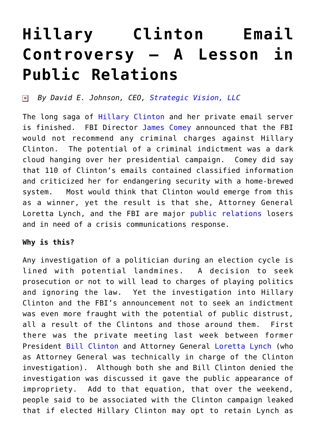## **[Hillary Clinton Email](https://www.commpro.biz/hillary-clinton-email-controversy/) [Controversy – A Lesson in](https://www.commpro.biz/hillary-clinton-email-controversy/) [Public Relations](https://www.commpro.biz/hillary-clinton-email-controversy/)**

*By David E. Johnson, CEO, [Strategic Vision, LLC](https://www.strategicvision.biz/)*  $\pmb{\times}$ 

The long saga of [Hillary Clinton](https://en.wikipedia.org/wiki/Hillary_Rodham_Clinton) [a](https://en.wikipedia.org/wiki/Hillary_Rodham_Clinton)nd her private email server is finished. FBI Director [James Comey](https://www.google.com/?ion=1&espv=2#q=james+comey&tbm=nws) announced that the FBI would not recommend any criminal charges against Hillary Clinton. The potential of a criminal indictment was a dark cloud hanging over her presidential campaign. Comey did say that 110 of Clinton's emails contained classified information and criticized her for endangering security with a home-brewed system. Most would think that Clinton would emerge from this as a winner, yet the result is that she, Attorney General Loretta Lynch, and the FBI are major [public relations](https://www.commpro.biz/public-relations/crisis-communications/hillary-clintons-crisis-management-lessons-to-learn/) losers and in need of a crisis communications response.

## **Why is this?**

Any investigation of a politician during an election cycle is lined with potential landmines. A decision to seek prosecution or not to will lead to charges of playing politics and ignoring the law. Yet the investigation into Hillary Clinton and the FBI's announcement not to seek an indictment was even more fraught with the potential of public distrust, all a result of the Clintons and those around them. First there was the private meeting last week between former President [Bill Clinton a](https://www.google.com/?ion=1&espv=2#tbm=nws&q=bill+clinton+2016)nd Attorney General [Loretta Lynch](https://www.google.com/?ion=1&espv=2#tbm=nws&q=Loretta+Lynch+) (who as Attorney General was technically in charge of the Clinton investigation). Although both she and Bill Clinton denied the investigation was discussed it gave the public appearance of impropriety. Add to that equation, that over the weekend, people said to be associated with the Clinton campaign leaked that if elected Hillary Clinton may opt to retain Lynch as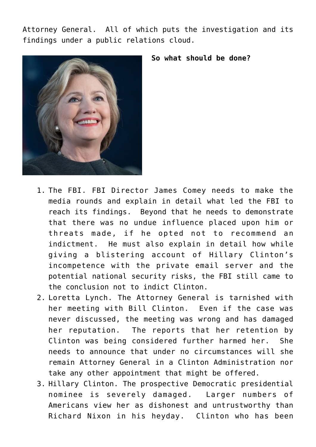Attorney General. All of which puts the investigation and its findings under a public relations cloud.





- 1. The FBI. FBI Director James Comey needs to make the media rounds and explain in detail what led the FBI to reach its findings. Beyond that he needs to demonstrate that there was no undue influence placed upon him or threats made, if he opted not to recommend an indictment. He must also explain in detail how while giving a blistering account of Hillary Clinton's incompetence with the private email server and the potential national security risks, the FBI still came to the conclusion not to indict Clinton.
- 2. Loretta Lynch. The Attorney General is tarnished with her meeting with Bill Clinton. Even if the case was never discussed, the meeting was wrong and has damaged her reputation. The reports that her retention by Clinton was being considered further harmed her. She needs to announce that under no circumstances will she remain Attorney General in a Clinton Administration nor take any other appointment that might be offered.
- 3. Hillary Clinton. The prospective Democratic presidential nominee is severely damaged. Larger numbers of Americans view her as dishonest and untrustworthy than Richard Nixon in his heyday. Clinton who has been